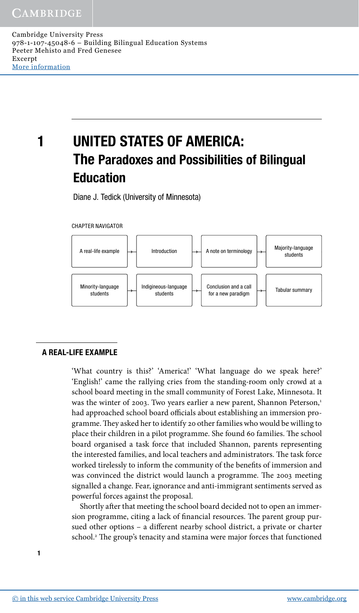# 1 UNITED STATES OF AMERICA: The Paradoxes and Possibilities of Bilingual Education

Diane J. Tedick (University of Minnesota)





# A REAL-LIFE EXAMPLE

'What country is this?' 'America!' 'What language do we speak here?' 'English!' came the rallying cries from the standing-room only crowd at a school board meeting in the small community of Forest Lake, Minnesota. It was the winter of 2003. Two years earlier a new parent, Shannon Peterson,<sup>1</sup> had approached school board officials about establishing an immersion programme. They asked her to identify 20 other families who would be willing to place their children in a pilot programme. She found 60 families. The school board organised a task force that included Shannon, parents representing the interested families, and local teachers and administrators. The task force worked tirelessly to inform the community of the benefits of immersion and was convinced the district would launch a programme. The 2003 meeting signalled a change. Fear, ignorance and anti-immigrant sentiments served as powerful forces against the proposal.

Shortly after that meeting the school board decided not to open an immersion programme, citing a lack of financial resources. The parent group pursued other options – a different nearby school district, a private or charter school.<sup>2</sup> The group's tenacity and stamina were major forces that functioned

1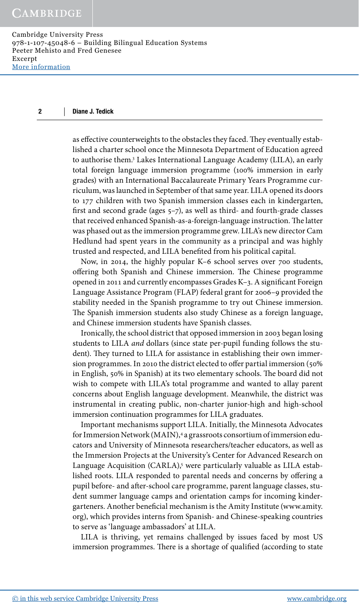### $\overline{\mathbf{c}}$ Diane J. Tedick

as effective counterweights to the obstacles they faced. They eventually established a charter school once the Minnesota Department of Education agreed to authorise them.3 Lakes International Language Academy (LILA), an early total foreign language immersion programme (100% immersion in early grades) with an International Baccalaureate Primary Years Programme curriculum, was launched in September of that same year. LILA opened its doors to 177 children with two Spanish immersion classes each in kindergarten, first and second grade (ages 5–7), as well as third- and fourth-grade classes that received enhanced Spanish-as-a-foreign-language instruction. The latter was phased out as the immersion programme grew. LILA's new director Cam Hedlund had spent years in the community as a principal and was highly trusted and respected, and LILA benefited from his political capital.

Now, in 2014, the highly popular K–6 school serves over 700 students, offering both Spanish and Chinese immersion. The Chinese programme opened in 2011 and currently encompasses Grades K–3. A significant Foreign Language Assistance Program (FLAP) federal grant for 2006–9 provided the stability needed in the Spanish programme to try out Chinese immersion. The Spanish immersion students also study Chinese as a foreign language, and Chinese immersion students have Spanish classes.

Ironically, the school district that opposed immersion in 2003 began losing students to LILA *and* dollars (since state per-pupil funding follows the student). They turned to LILA for assistance in establishing their own immersion programmes. In 2010 the district elected to offer partial immersion (50% in English, 50% in Spanish) at its two elementary schools. The board did not wish to compete with LILA's total programme and wanted to allay parent concerns about English language development. Meanwhile, the district was instrumental in creating public, non-charter junior-high and high-school immersion continuation programmes for LILA graduates.

Important mechanisms support LILA. Initially, the Minnesota Advocates for Immersion Network (MAIN),4 a grassroots consortium of immersion educators and University of Minnesota researchers/teacher educators, as well as the Immersion Projects at the University's Center for Advanced Research on Language Acquisition (CARLA),<sup>5</sup> were particularly valuable as LILA established roots. LILA responded to parental needs and concerns by offering a pupil before- and after-school care programme, parent language classes, student summer language camps and orientation camps for incoming kindergarteners. Another beneficial mechanism is the Amity Institute (www.amity. org), which provides interns from Spanish- and Chinese-speaking countries to serve as 'language ambassadors' at LILA.

LILA is thriving, yet remains challenged by issues faced by most US immersion programmes. There is a shortage of qualified (according to state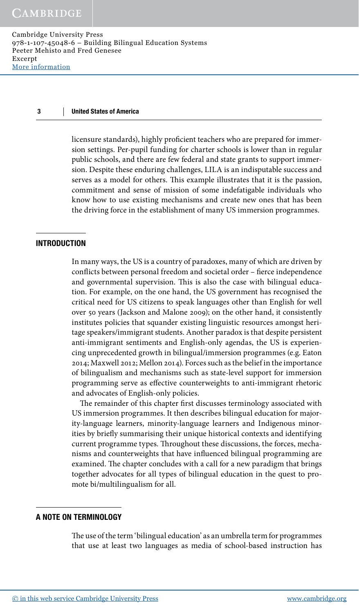licensure standards), highly proficient teachers who are prepared for immersion settings. Per-pupil funding for charter schools is lower than in regular public schools, and there are few federal and state grants to support immersion. Despite these enduring challenges, LILA is an indisputable success and serves as a model for others. This example illustrates that it is the passion, commitment and sense of mission of some indefatigable individuals who know how to use existing mechanisms and create new ones that has been the driving force in the establishment of many US immersion programmes.

# INTRODUCTION

In many ways, the US is a country of paradoxes, many of which are driven by conflicts between personal freedom and societal order – fierce independence and governmental supervision. This is also the case with bilingual education. For example, on the one hand, the US government has recognised the critical need for US citizens to speak languages other than English for well over 50 years (Jackson and Malone 2009); on the other hand, it consistently institutes policies that squander existing linguistic resources amongst heritage speakers/immigrant students. Another paradox is that despite persistent anti-immigrant sentiments and English-only agendas, the US is experiencing unprecedented growth in bilingual/immersion programmes (e.g. Eaton 2014; Maxwell 2012; Mellon 2014). Forces such as the belief in the importance of bilingualism and mechanisms such as state-level support for immersion programming serve as effective counterweights to anti-immigrant rhetoric and advocates of English-only policies.

The remainder of this chapter first discusses terminology associated with US immersion programmes. It then describes bilingual education for majority-language learners, minority-language learners and Indigenous minorities by briefly summarising their unique historical contexts and identifying current programme types. Throughout these discussions, the forces, mechanisms and counterweights that have influenced bilingual programming are examined. The chapter concludes with a call for a new paradigm that brings together advocates for all types of bilingual education in the quest to promote bi/multilingualism for all.

# A NOTE ON TERMINOLOGY

The use of the term 'bilingual education' as an umbrella term for programmes that use at least two languages as media of school-based instruction has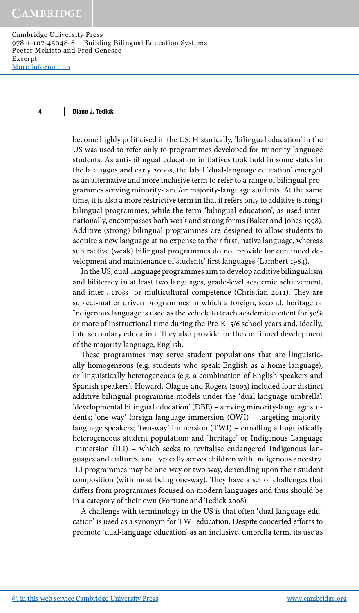become highly politicised in the US. Historically, 'bilingual education' in the US was used to refer only to programmes developed for minority-language students. As anti-bilingual education initiatives took hold in some states in the late 1990s and early 2000s, the label 'dual-language education' emerged as an alternative and more inclusive term to refer to a range of bilingual programmes serving minority- and/or majority-language students. At the same time, it is also a more restrictive term in that it refers only to additive (strong) bilingual programmes, while the term 'bilingual education', as used internationally, encompasses both weak and strong forms (Baker and Jones 1998). Additive (strong) bilingual programmes are designed to allow students to acquire a new language at no expense to their first, native language, whereas subtractive (weak) bilingual programmes do not provide for continued development and maintenance of students' first languages (Lambert 1984).

In the US, dual-language programmes aim to develop additive bilingualism and biliteracy in at least two languages, grade-level academic achievement, and inter-, cross- or multicultural competence (Christian 2011). They are subject-matter driven programmes in which a foreign, second, heritage or Indigenous language is used as the vehicle to teach academic content for 50% or more of instructional time during the Pre-K–5/6 school years and, ideally, into secondary education. They also provide for the continued development of the majority language, English.

These programmes may serve student populations that are linguistically homogeneous (e.g. students who speak English as a home language), or linguistically heterogeneous (e.g. a combination of English speakers and Spanish speakers). Howard, Olague and Rogers (2003) included four distinct additive bilingual programme models under the 'dual-language umbrella': 'developmental bilingual education' (DBE) – serving minority-language students; 'one-way' foreign language immersion (OWI) – targeting majoritylanguage speakers; 'two-way' immersion (TWI) – enrolling a linguistically heterogeneous student population; and 'heritage' or Indigenous Language Immersion (ILI) – which seeks to revitalise endangered Indigenous languages and cultures, and typically serves children with Indigenous ancestry. ILI programmes may be one-way or two-way, depending upon their student composition (with most being one-way). They have a set of challenges that differs from programmes focused on modern languages and thus should be in a category of their own (Fortune and Tedick 2008).

A challenge with terminology in the US is that often 'dual-language education' is used as a synonym for TWI education. Despite concerted efforts to promote 'dual-language education' as an inclusive, umbrella term, its use as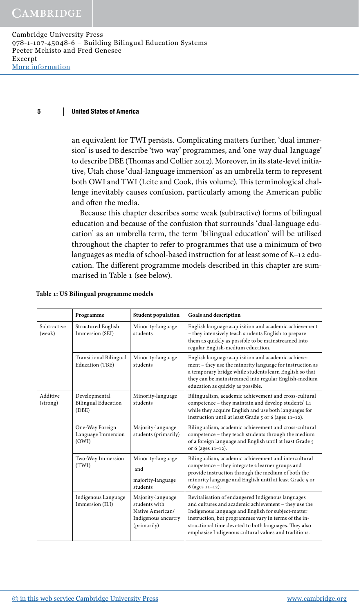an equivalent for TWI persists. Complicating matters further, 'dual immersion' is used to describe 'two-way' programmes, and 'one-way dual-language' to describe DBE (Thomas and Collier 2012). Moreover, in its state-level initiative, Utah chose 'dual-language immersion' as an umbrella term to represent both OWI and TWI (Leite and Cook, this volume). This terminological challenge inevitably causes confusion, particularly among the American public and often the media.

Because this chapter describes some weak (subtractive) forms of bilingual education and because of the confusion that surrounds 'dual-language education' as an umbrella term, the term 'bilingual education' will be utilised throughout the chapter to refer to programmes that use a minimum of two languages as media of school-based instruction for at least some of K–12 education. The different programme models described in this chapter are summarised in Table 1 (see below).

|                       | Programme                                            | <b>Student population</b>                                                                    | Goals and description                                                                                                                                                                                                                                                                                                                    |
|-----------------------|------------------------------------------------------|----------------------------------------------------------------------------------------------|------------------------------------------------------------------------------------------------------------------------------------------------------------------------------------------------------------------------------------------------------------------------------------------------------------------------------------------|
| Subtractive<br>(weak) | Structured English<br>Immersion (SEI)                | Minority-language<br>students                                                                | English language acquisition and academic achievement<br>- they intensively teach students English to prepare<br>them as quickly as possible to be mainstreamed into<br>regular English-medium education.                                                                                                                                |
|                       | Transitional Bilingual<br>Education (TBE)            | Minority-language<br>students                                                                | English language acquisition and academic achieve-<br>ment – they use the minority language for instruction as<br>a temporary bridge while students learn English so that<br>they can be mainstreamed into regular English-medium<br>education as quickly as possible.                                                                   |
| Additive<br>(strong)  | Developmental<br><b>Bilingual Education</b><br>(DBE) | Minority-language<br>students                                                                | Bilingualism, academic achievement and cross-cultural<br>competence - they maintain and develop students' L1<br>while they acquire English and use both languages for<br>instruction until at least Grade 5 or 6 (ages 11-12).                                                                                                           |
|                       | One-Way Foreign<br>Language Immersion<br>(OWI)       | Majority-language<br>students (primarily)                                                    | Bilingualism, academic achievement and cross-cultural<br>competence – they teach students through the medium<br>of a foreign language and English until at least Grade 5<br>or 6 (ages 11-12).                                                                                                                                           |
|                       | Two-Way Immersion<br>(TWI)                           | Minority-language<br>and<br>majority-language<br>students                                    | Bilingualism, academic achievement and intercultural<br>competence - they integrate 2 learner groups and<br>provide instruction through the medium of both the<br>minority language and English until at least Grade 5 or<br>6 (ages $11-12$ ).                                                                                          |
|                       | Indigenous Language<br>Immersion (ILI)               | Majority-language<br>students with<br>Native American/<br>Indigenous ancestry<br>(primarily) | Revitalisation of endangered Indigenous languages<br>and cultures and academic achievement - they use the<br>Indigenous language and English for subject-matter<br>instruction, but programmes vary in terms of the in-<br>structional time devoted to both languages. They also<br>emphasise Indigenous cultural values and traditions. |

**Table 1: US Bilingual programme models**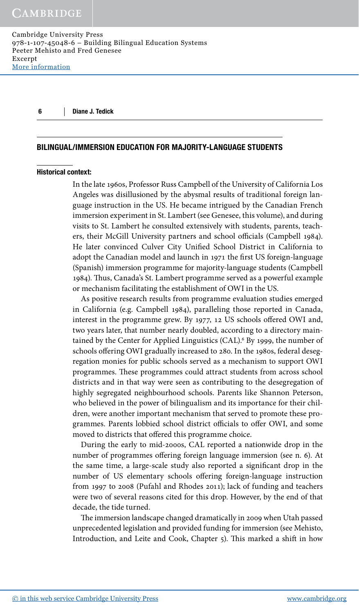### BILINGUAL/IMMERSION EDUCATION FOR MAJORITY-LANGUAGE STUDENTS

### Historical context:

In the late 1960s, Professor Russ Campbell of the University of California Los Angeles was disillusioned by the abysmal results of traditional foreign language instruction in the US. He became intrigued by the Canadian French immersion experiment in St. Lambert (see Genesee, this volume), and during visits to St. Lambert he consulted extensively with students, parents, teachers, their McGill University partners and school officials (Campbell 1984). He later convinced Culver City Unified School District in California to adopt the Canadian model and launch in 1971 the first US foreign-language (Spanish) immersion programme for majority-language students (Campbell 1984). Thus, Canada's St. Lambert programme served as a powerful example or mechanism facilitating the establishment of OWI in the US.

As positive research results from programme evaluation studies emerged in California (e.g. Campbell 1984), paralleling those reported in Canada, interest in the programme grew. By 1977, 12 US schools offered OWI and, two years later, that number nearly doubled, according to a directory maintained by the Center for Applied Linguistics (CAL).<sup>6</sup> By 1999, the number of schools offering OWI gradually increased to 280. In the 1980s, federal desegregation monies for public schools served as a mechanism to support OWI programmes. These programmes could attract students from across school districts and in that way were seen as contributing to the desegregation of highly segregated neighbourhood schools. Parents like Shannon Peterson, who believed in the power of bilingualism and its importance for their children, were another important mechanism that served to promote these programmes. Parents lobbied school district officials to offer OWI, and some moved to districts that offered this programme choice.

During the early to mid-2000s, CAL reported a nationwide drop in the number of programmes offering foreign language immersion (see n. 6). At the same time, a large-scale study also reported a significant drop in the number of US elementary schools offering foreign-language instruction from 1997 to 2008 (Pufahl and Rhodes 2011); lack of funding and teachers were two of several reasons cited for this drop. However, by the end of that decade, the tide turned.

The immersion landscape changed dramatically in 2009 when Utah passed unprecedented legislation and provided funding for immersion (see Mehisto, Introduction, and Leite and Cook, Chapter 5). This marked a shift in how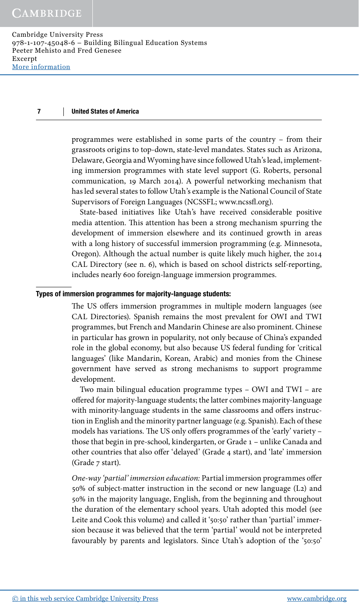programmes were established in some parts of the country – from their grassroots origins to top-down, state-level mandates. States such as Arizona, Delaware, Georgia and Wyoming have since followed Utah's lead, implementing immersion programmes with state level support (G. Roberts, personal communication, 19 March 2014). A powerful networking mechanism that has led several states to follow Utah's example is the National Council of State Supervisors of Foreign Languages (NCSSFL; www.ncssfl.org).

State-based initiatives like Utah's have received considerable positive media attention. This attention has been a strong mechanism spurring the development of immersion elsewhere and its continued growth in areas with a long history of successful immersion programming (e.g. Minnesota, Oregon). Although the actual number is quite likely much higher, the 2014 CAL Directory (see n. 6), which is based on school districts self-reporting, includes nearly 600 foreign-language immersion programmes.

# Types of immersion programmes for majority-language students:

The US offers immersion programmes in multiple modern languages (see CAL Directories). Spanish remains the most prevalent for OWI and TWI programmes, but French and Mandarin Chinese are also prominent. Chinese in particular has grown in popularity, not only because of China's expanded role in the global economy, but also because US federal funding for 'critical languages' (like Mandarin, Korean, Arabic) and monies from the Chinese government have served as strong mechanisms to support programme development.

Two main bilingual education programme types – OWI and TWI – are offered for majority-language students; the latter combines majority-language with minority-language students in the same classrooms and offers instruction in English and the minority partner language (e.g. Spanish). Each of these models has variations. The US only offers programmes of the 'early' variety – those that begin in pre-school, kindergarten, or Grade 1 – unlike Canada and other countries that also offer 'delayed' (Grade 4 start), and 'late' immersion (Grade 7 start).

*One-way 'partial' immersion education:* Partial immersion programmes offer 50% of subject-matter instruction in the second or new language (L2) and 50% in the majority language, English, from the beginning and throughout the duration of the elementary school years. Utah adopted this model (see Leite and Cook this volume) and called it '50:50' rather than 'partial' immersion because it was believed that the term 'partial' would not be interpreted favourably by parents and legislators. Since Utah's adoption of the '50:50'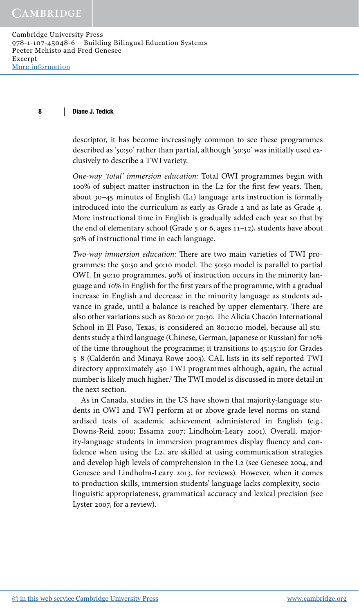descriptor, it has become increasingly common to see these programmes described as '50:50' rather than partial, although '50:50' was initially used exclusively to describe a TWI variety.

*One-way 'total' immersion education:* Total OWI programmes begin with 100% of subject-matter instruction in the L2 for the first few years. Then, about 30–45 minutes of English (L1) language arts instruction is formally introduced into the curriculum as early as Grade 2 and as late as Grade 4. More instructional time in English is gradually added each year so that by the end of elementary school (Grade  $5$  or 6, ages  $11-12$ ), students have about 50% of instructional time in each language.

*Two-way immersion education:* There are two main varieties of TWI programmes: the 50:50 and 90:10 model. The 50:50 model is parallel to partial OWI. In 90:10 programmes, 90% of instruction occurs in the minority language and 10% in English for the first years of the programme, with a gradual increase in English and decrease in the minority language as students advance in grade, until a balance is reached by upper elementary. There are also other variations such as 80:20 or 70:30. The Alicia Chacón International School in El Paso, Texas, is considered an 80:10:10 model, because all students study a third language (Chinese, German, Japanese or Russian) for 10% of the time throughout the programme; it transitions to 45:45:10 for Grades 5–8 (Calderón and Minaya-Rowe 2003). CAL lists in its self-reported TWI directory approximately 450 TWI programmes although, again, the actual number is likely much higher.7 The TWI model is discussed in more detail in the next section.

As in Canada, studies in the US have shown that majority-language students in OWI and TWI perform at or above grade-level norms on standardised tests of academic achievement administered in English (e.g., Downs-Reid 2000; Essama 2007; Lindholm-Leary 2001). Overall, majority-language students in immersion programmes display fluency and confidence when using the L2, are skilled at using communication strategies and develop high levels of comprehension in the L2 (see Genesee 2004, and Genesee and Lindholm-Leary 2013, for reviews). However, when it comes to production skills, immersion students' language lacks complexity, sociolinguistic appropriateness, grammatical accuracy and lexical precision (see Lyster 2007, for a review).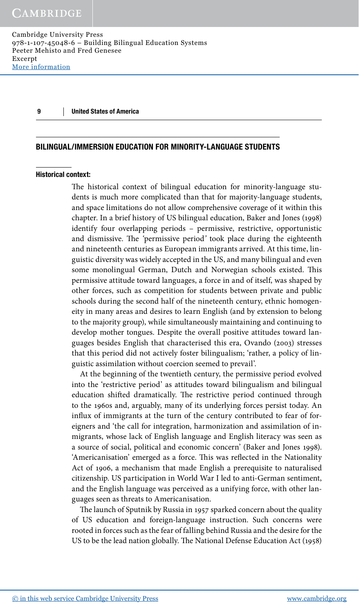# BILINGUAL/IMMERSION EDUCATION FOR MINORITY-LANGUAGE STUDENTS

# Historical context:

The historical context of bilingual education for minority-language students is much more complicated than that for majority-language students, and space limitations do not allow comprehensive coverage of it within this chapter. In a brief history of US bilingual education, Baker and Jones (1998) identify four overlapping periods – permissive, restrictive, opportunistic and dismissive. The *'*permissive period*'* took place during the eighteenth and nineteenth centuries as European immigrants arrived. At this time, linguistic diversity was widely accepted in the US, and many bilingual and even some monolingual German, Dutch and Norwegian schools existed. This permissive attitude toward languages, a force in and of itself, was shaped by other forces, such as competition for students between private and public schools during the second half of the nineteenth century, ethnic homogeneity in many areas and desires to learn English (and by extension to belong to the majority group), while simultaneously maintaining and continuing to develop mother tongues. Despite the overall positive attitudes toward languages besides English that characterised this era, Ovando (2003) stresses that this period did not actively foster bilingualism; 'rather, a policy of linguistic assimilation without coercion seemed to prevail'.

At the beginning of the twentieth century, the permissive period evolved into the 'restrictive period' as attitudes toward bilingualism and bilingual education shifted dramatically. The restrictive period continued through to the 1960s and, arguably, many of its underlying forces persist today. An influx of immigrants at the turn of the century contributed to fear of foreigners and 'the call for integration, harmonization and assimilation of inmigrants, whose lack of English language and English literacy was seen as a source of social, political and economic concern' (Baker and Jones 1998). 'Americanisation' emerged as a force. This was reflected in the Nationality Act of 1906, a mechanism that made English a prerequisite to naturalised citizenship. US participation in World War I led to anti-German sentiment, and the English language was perceived as a unifying force, with other languages seen as threats to Americanisation.

The launch of Sputnik by Russia in 1957 sparked concern about the quality of US education and foreign-language instruction. Such concerns were rooted in forces such as the fear of falling behind Russia and the desire for the US to be the lead nation globally. The National Defense Education Act (1958)